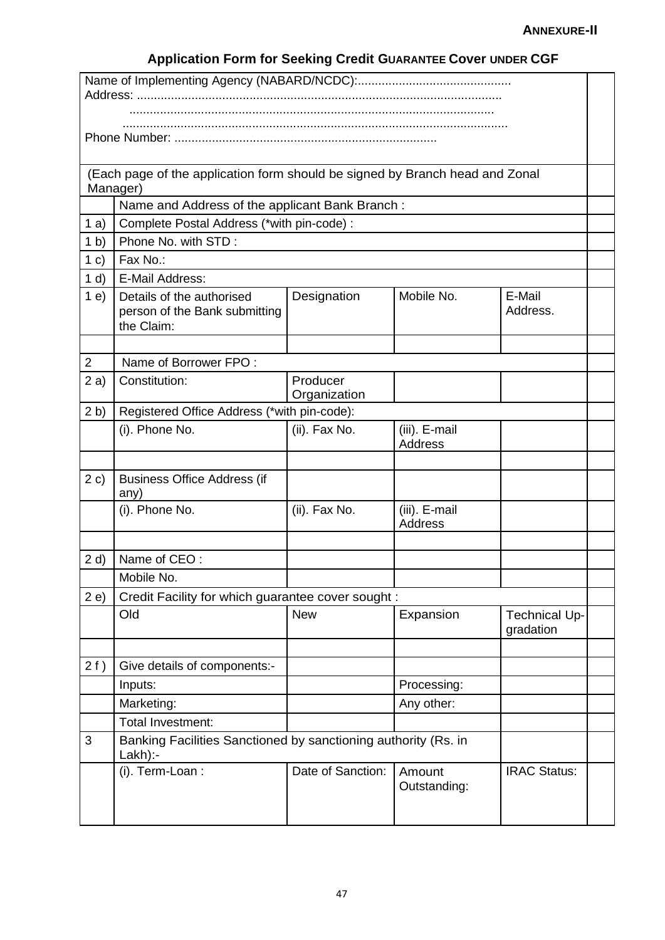|                                                                                  | (Each page of the application form should be signed by Branch head and Zonal<br>Manager) |                          |                                 |                                   |  |  |
|----------------------------------------------------------------------------------|------------------------------------------------------------------------------------------|--------------------------|---------------------------------|-----------------------------------|--|--|
|                                                                                  | Name and Address of the applicant Bank Branch:                                           |                          |                                 |                                   |  |  |
| 1a)                                                                              | Complete Postal Address (*with pin-code) :                                               |                          |                                 |                                   |  |  |
| 1 <sub>b</sub>                                                                   | Phone No. with STD:                                                                      |                          |                                 |                                   |  |  |
| 1 c)                                                                             | Fax No.:                                                                                 |                          |                                 |                                   |  |  |
| 1 d                                                                              | E-Mail Address:                                                                          |                          |                                 |                                   |  |  |
| 1e)                                                                              | Details of the authorised<br>person of the Bank submitting<br>the Claim:                 | Designation              | Mobile No.                      | E-Mail<br>Address.                |  |  |
| $\overline{2}$                                                                   | Name of Borrower FPO:                                                                    |                          |                                 |                                   |  |  |
|                                                                                  |                                                                                          |                          |                                 |                                   |  |  |
| 2a)                                                                              | Constitution:                                                                            | Producer<br>Organization |                                 |                                   |  |  |
| 2 <sub>b</sub>                                                                   | Registered Office Address (*with pin-code):                                              |                          |                                 |                                   |  |  |
|                                                                                  | (i). Phone No.                                                                           | (ii). Fax No.            | (iii). E-mail<br><b>Address</b> |                                   |  |  |
|                                                                                  |                                                                                          |                          |                                 |                                   |  |  |
| 2 c)                                                                             | <b>Business Office Address (if</b><br>any)                                               |                          |                                 |                                   |  |  |
|                                                                                  | (i). Phone No.                                                                           | (ii). Fax No.            | (iii). E-mail<br><b>Address</b> |                                   |  |  |
|                                                                                  |                                                                                          |                          |                                 |                                   |  |  |
| 2 d                                                                              | Name of CEO:                                                                             |                          |                                 |                                   |  |  |
|                                                                                  | Mobile No.                                                                               |                          |                                 |                                   |  |  |
| 2e)<br>Credit Facility for which guarantee cover sought :                        |                                                                                          |                          |                                 |                                   |  |  |
|                                                                                  | Old                                                                                      | <b>New</b>               | Expansion                       | <b>Technical Up-</b><br>gradation |  |  |
|                                                                                  |                                                                                          |                          |                                 |                                   |  |  |
| 2f)                                                                              | Give details of components:-                                                             |                          |                                 |                                   |  |  |
|                                                                                  | Inputs:                                                                                  |                          | Processing:                     |                                   |  |  |
|                                                                                  | Marketing:                                                                               |                          | Any other:                      |                                   |  |  |
|                                                                                  | Total Investment:                                                                        |                          |                                 |                                   |  |  |
| Banking Facilities Sanctioned by sanctioning authority (Rs. in<br>3<br>$Lakh$ :- |                                                                                          |                          |                                 |                                   |  |  |
|                                                                                  | (i). Term-Loan :                                                                         | Date of Sanction:        | Amount<br>Outstanding:          | <b>IRAC Status:</b>               |  |  |

## **Application Form for Seeking Credit GUARANTEE Cover UNDER CGF**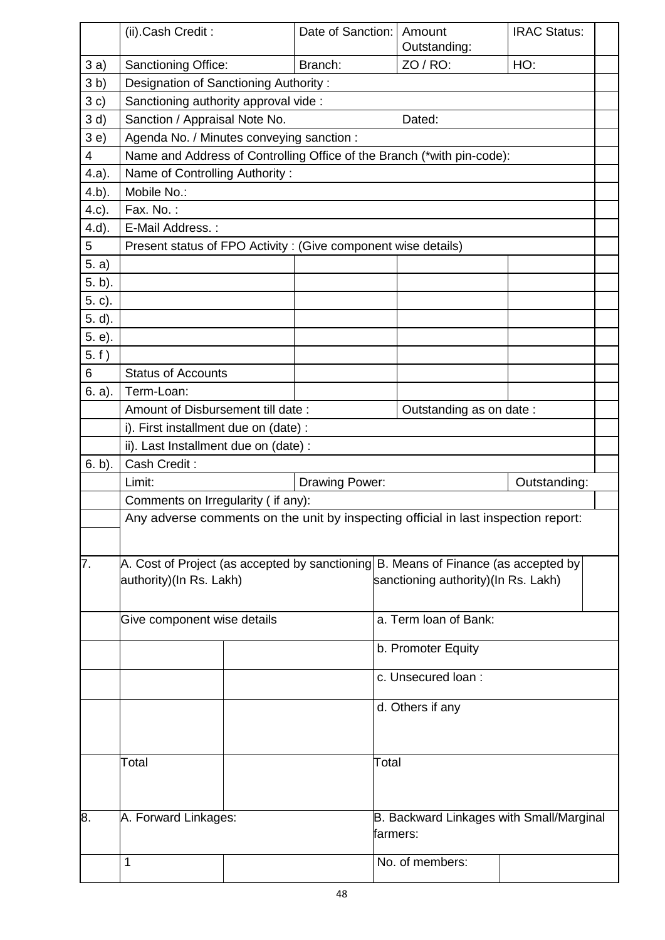|                | (ii).Cash Credit:                                                                  |                                                                        | Date of Sanction:   Amount | Outstanding:                             | <b>IRAC Status:</b>                 |  |  |  |
|----------------|------------------------------------------------------------------------------------|------------------------------------------------------------------------|----------------------------|------------------------------------------|-------------------------------------|--|--|--|
| 3a)            | <b>Sanctioning Office:</b>                                                         |                                                                        | Branch:                    | ZO / RO:                                 | HO:                                 |  |  |  |
| 3 <sub>b</sub> |                                                                                    | Designation of Sanctioning Authority:                                  |                            |                                          |                                     |  |  |  |
| 3c)            |                                                                                    | Sanctioning authority approval vide :                                  |                            |                                          |                                     |  |  |  |
| 3 d)           | Sanction / Appraisal Note No.<br>Dated:                                            |                                                                        |                            |                                          |                                     |  |  |  |
| 3e)            |                                                                                    | Agenda No. / Minutes conveying sanction :                              |                            |                                          |                                     |  |  |  |
| 4              |                                                                                    | Name and Address of Controlling Office of the Branch (*with pin-code): |                            |                                          |                                     |  |  |  |
| 4.a).          | Name of Controlling Authority:                                                     |                                                                        |                            |                                          |                                     |  |  |  |
| $4.b$ ).       | Mobile No.:                                                                        |                                                                        |                            |                                          |                                     |  |  |  |
| 4.c).          | Fax. No.:                                                                          |                                                                        |                            |                                          |                                     |  |  |  |
| $4.d$ ).       | E-Mail Address.:                                                                   |                                                                        |                            |                                          |                                     |  |  |  |
| 5              | Present status of FPO Activity : (Give component wise details)                     |                                                                        |                            |                                          |                                     |  |  |  |
| 5. a)          |                                                                                    |                                                                        |                            |                                          |                                     |  |  |  |
| 5. b).         |                                                                                    |                                                                        |                            |                                          |                                     |  |  |  |
| 5. c).         |                                                                                    |                                                                        |                            |                                          |                                     |  |  |  |
| $5. d$ .       |                                                                                    |                                                                        |                            |                                          |                                     |  |  |  |
| 5. e).         |                                                                                    |                                                                        |                            |                                          |                                     |  |  |  |
| 5. f)          |                                                                                    |                                                                        |                            |                                          |                                     |  |  |  |
| 6              | <b>Status of Accounts</b>                                                          |                                                                        |                            |                                          |                                     |  |  |  |
| 6. a).         | Term-Loan:                                                                         |                                                                        |                            |                                          |                                     |  |  |  |
|                | Amount of Disbursement till date:<br>Outstanding as on date:                       |                                                                        |                            |                                          |                                     |  |  |  |
|                | i). First installment due on (date) :                                              |                                                                        |                            |                                          |                                     |  |  |  |
|                | ii). Last Installment due on (date) :                                              |                                                                        |                            |                                          |                                     |  |  |  |
| $6. b$ ).      | Cash Credit:                                                                       |                                                                        |                            |                                          |                                     |  |  |  |
|                | Limit:<br>Drawing Power:                                                           |                                                                        |                            | Outstanding:                             |                                     |  |  |  |
|                | Comments on Irregularity (if any):                                                 |                                                                        |                            |                                          |                                     |  |  |  |
|                | Any adverse comments on the unit by inspecting official in last inspection report: |                                                                        |                            |                                          |                                     |  |  |  |
|                |                                                                                    |                                                                        |                            |                                          |                                     |  |  |  |
| 7.             | A. Cost of Project (as accepted by sanctioning B. Means of Finance (as accepted by |                                                                        |                            |                                          |                                     |  |  |  |
|                |                                                                                    | authority)(In Rs. Lakh)                                                |                            |                                          | sanctioning authority)(In Rs. Lakh) |  |  |  |
|                | Give component wise details                                                        |                                                                        |                            |                                          |                                     |  |  |  |
|                |                                                                                    |                                                                        |                            | a. Term loan of Bank:                    |                                     |  |  |  |
|                |                                                                                    |                                                                        |                            | b. Promoter Equity                       |                                     |  |  |  |
|                |                                                                                    |                                                                        |                            |                                          |                                     |  |  |  |
|                |                                                                                    |                                                                        |                            | c. Unsecured loan:                       |                                     |  |  |  |
|                |                                                                                    |                                                                        |                            | d. Others if any                         |                                     |  |  |  |
|                |                                                                                    |                                                                        |                            |                                          |                                     |  |  |  |
|                |                                                                                    |                                                                        |                            |                                          |                                     |  |  |  |
|                | Total                                                                              |                                                                        |                            | Total                                    |                                     |  |  |  |
|                |                                                                                    |                                                                        |                            |                                          |                                     |  |  |  |
|                |                                                                                    |                                                                        |                            |                                          |                                     |  |  |  |
| 8.             | A. Forward Linkages:                                                               |                                                                        |                            | B. Backward Linkages with Small/Marginal |                                     |  |  |  |
| farmers:       |                                                                                    |                                                                        |                            |                                          |                                     |  |  |  |
|                |                                                                                    |                                                                        |                            |                                          |                                     |  |  |  |
|                | 1                                                                                  |                                                                        |                            | No. of members:                          |                                     |  |  |  |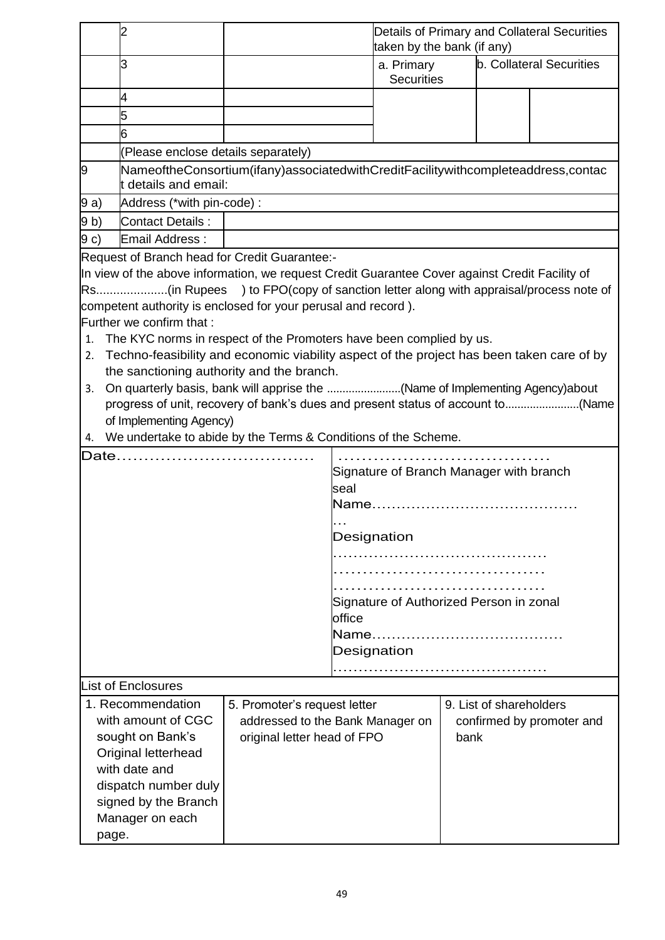|                                                        |                                                                                                          |                            |                                                   | Details of Primary and Collateral Securities<br>taken by the bank (if any) |  |                           |                                 |
|--------------------------------------------------------|----------------------------------------------------------------------------------------------------------|----------------------------|---------------------------------------------------|----------------------------------------------------------------------------|--|---------------------------|---------------------------------|
|                                                        | 3                                                                                                        |                            |                                                   | a. Primary<br><b>Securities</b>                                            |  |                           | <b>b. Collateral Securities</b> |
|                                                        | 4                                                                                                        |                            |                                                   |                                                                            |  |                           |                                 |
|                                                        | 5                                                                                                        |                            |                                                   |                                                                            |  |                           |                                 |
|                                                        | 6                                                                                                        |                            |                                                   |                                                                            |  |                           |                                 |
|                                                        | (Please enclose details separately)                                                                      |                            |                                                   |                                                                            |  |                           |                                 |
| 9                                                      | NameoftheConsortium(ifany)associatedwithCreditFacilitywithcompleteaddress,contac<br>t details and email: |                            |                                                   |                                                                            |  |                           |                                 |
| 9a)                                                    |                                                                                                          | Address (*with pin-code) : |                                                   |                                                                            |  |                           |                                 |
| 9 <sub>b</sub>                                         | Contact Details:                                                                                         |                            |                                                   |                                                                            |  |                           |                                 |
| 9 c)                                                   | <b>Email Address:</b>                                                                                    |                            |                                                   |                                                                            |  |                           |                                 |
|                                                        | Request of Branch head for Credit Guarantee:-                                                            |                            |                                                   |                                                                            |  |                           |                                 |
|                                                        | In view of the above information, we request Credit Guarantee Cover against Credit Facility of           |                            |                                                   |                                                                            |  |                           |                                 |
|                                                        | Rs(in Rupees ) to FPO(copy of sanction letter along with appraisal/process note of                       |                            |                                                   |                                                                            |  |                           |                                 |
|                                                        | competent authority is enclosed for your perusal and record).                                            |                            |                                                   |                                                                            |  |                           |                                 |
|                                                        | Further we confirm that:                                                                                 |                            |                                                   |                                                                            |  |                           |                                 |
|                                                        | 1. The KYC norms in respect of the Promoters have been complied by us.                                   |                            |                                                   |                                                                            |  |                           |                                 |
|                                                        | 2. Techno-feasibility and economic viability aspect of the project has been taken care of by             |                            |                                                   |                                                                            |  |                           |                                 |
|                                                        | the sanctioning authority and the branch.                                                                |                            |                                                   |                                                                            |  |                           |                                 |
|                                                        | 3. On quarterly basis, bank will apprise the (Name of Implementing Agency)about                          |                            |                                                   |                                                                            |  |                           |                                 |
|                                                        | progress of unit, recovery of bank's dues and present status of account to(Name                          |                            |                                                   |                                                                            |  |                           |                                 |
|                                                        | of Implementing Agency)                                                                                  |                            |                                                   |                                                                            |  |                           |                                 |
|                                                        | 4. We undertake to abide by the Terms & Conditions of the Scheme.                                        |                            |                                                   |                                                                            |  |                           |                                 |
|                                                        | Date                                                                                                     |                            |                                                   |                                                                            |  |                           |                                 |
|                                                        |                                                                                                          |                            |                                                   |                                                                            |  |                           |                                 |
|                                                        | Signature of Branch Manager with branch<br>seal                                                          |                            |                                                   |                                                                            |  |                           |                                 |
|                                                        |                                                                                                          |                            |                                                   |                                                                            |  |                           |                                 |
|                                                        |                                                                                                          |                            |                                                   |                                                                            |  |                           |                                 |
|                                                        |                                                                                                          |                            | Designation                                       |                                                                            |  |                           |                                 |
|                                                        |                                                                                                          |                            |                                                   |                                                                            |  |                           |                                 |
|                                                        |                                                                                                          |                            |                                                   |                                                                            |  |                           |                                 |
|                                                        |                                                                                                          |                            |                                                   |                                                                            |  |                           |                                 |
|                                                        |                                                                                                          |                            | Signature of Authorized Person in zonal<br>office |                                                                            |  |                           |                                 |
|                                                        |                                                                                                          |                            |                                                   |                                                                            |  |                           |                                 |
|                                                        |                                                                                                          |                            |                                                   |                                                                            |  |                           |                                 |
|                                                        | Designation                                                                                              |                            |                                                   |                                                                            |  |                           |                                 |
| <b>List of Enclosures</b>                              |                                                                                                          |                            |                                                   |                                                                            |  |                           |                                 |
|                                                        | 1. Recommendation<br>9. List of shareholders<br>5. Promoter's request letter                             |                            |                                                   |                                                                            |  |                           |                                 |
|                                                        |                                                                                                          |                            |                                                   |                                                                            |  |                           |                                 |
| with amount of CGC<br>addressed to the Bank Manager on |                                                                                                          |                            |                                                   |                                                                            |  | confirmed by promoter and |                                 |
|                                                        | sought on Bank's<br>original letter head of FPO<br>bank                                                  |                            |                                                   |                                                                            |  |                           |                                 |
|                                                        | Original letterhead<br>with date and                                                                     |                            |                                                   |                                                                            |  |                           |                                 |
|                                                        | dispatch number duly                                                                                     |                            |                                                   |                                                                            |  |                           |                                 |
|                                                        |                                                                                                          |                            |                                                   |                                                                            |  |                           |                                 |
|                                                        | signed by the Branch                                                                                     |                            |                                                   |                                                                            |  |                           |                                 |
|                                                        | Manager on each                                                                                          |                            |                                                   |                                                                            |  |                           |                                 |
| page.                                                  |                                                                                                          |                            |                                                   |                                                                            |  |                           |                                 |